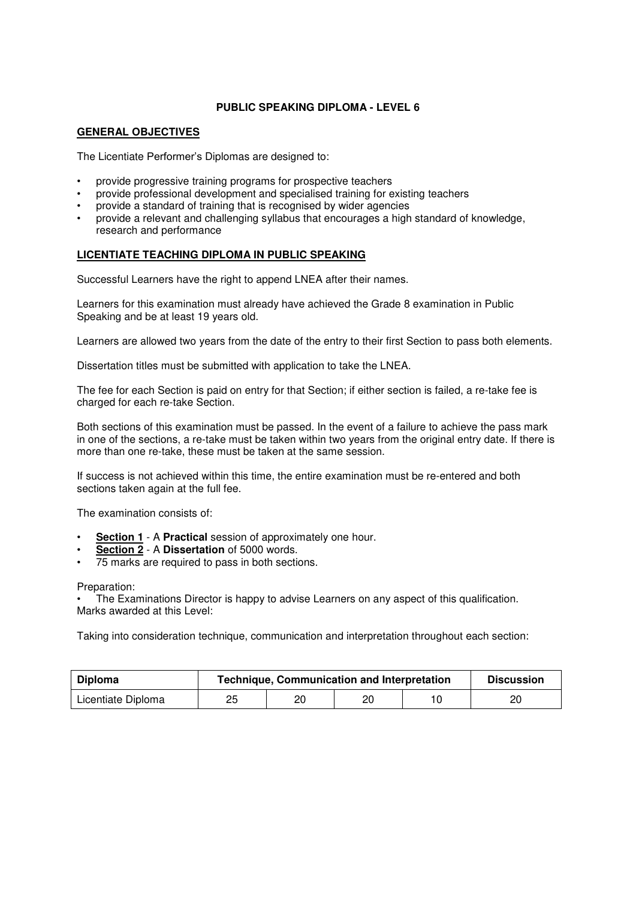## **PUBLIC SPEAKING DIPLOMA - LEVEL 6**

### **GENERAL OBJECTIVES**

The Licentiate Performer's Diplomas are designed to:

- provide progressive training programs for prospective teachers
- provide professional development and specialised training for existing teachers
- provide a standard of training that is recognised by wider agencies
- provide a relevant and challenging syllabus that encourages a high standard of knowledge, research and performance

## **LICENTIATE TEACHING DIPLOMA IN PUBLIC SPEAKING**

Successful Learners have the right to append LNEA after their names.

Learners for this examination must already have achieved the Grade 8 examination in Public Speaking and be at least 19 years old.

Learners are allowed two years from the date of the entry to their first Section to pass both elements.

Dissertation titles must be submitted with application to take the LNEA.

The fee for each Section is paid on entry for that Section; if either section is failed, a re-take fee is charged for each re-take Section.

Both sections of this examination must be passed. In the event of a failure to achieve the pass mark in one of the sections, a re-take must be taken within two years from the original entry date. If there is more than one re-take, these must be taken at the same session.

If success is not achieved within this time, the entire examination must be re-entered and both sections taken again at the full fee.

The examination consists of:

- **Section 1** A **Practical** session of approximately one hour.
- **Section 2** A **Dissertation** of 5000 words.
- 75 marks are required to pass in both sections.

#### Preparation:

• The Examinations Director is happy to advise Learners on any aspect of this qualification. Marks awarded at this Level:

Taking into consideration technique, communication and interpretation throughout each section:

| Diploma            | <b>Technique, Communication and Interpretation</b> |    |    |  | <b>Discussion</b> |
|--------------------|----------------------------------------------------|----|----|--|-------------------|
| Licentiate Diploma | 25                                                 | 20 | 20 |  |                   |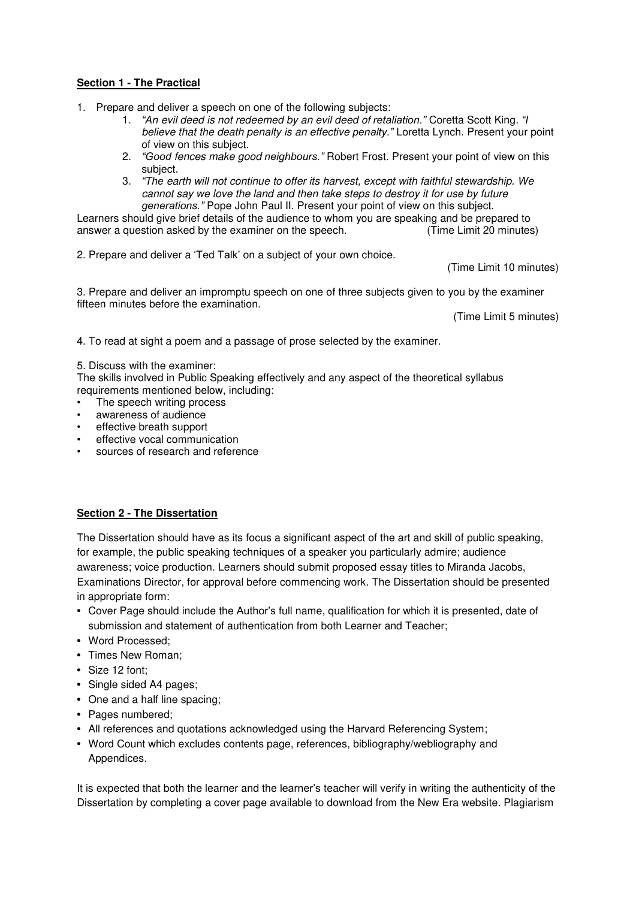# **Section 1 - The Practical**

1. Prepare and deliver a speech on one of the following subjects:

- 1. *"An* evil deed is not redeemed by an evil deed of *retaliation."* Coretta Scott King. *"I* believe that the death penalty is an effective *penalty."* Loretta Lynch. Present your point of view on this subject.
- 2. *"Good* fences make good *neighbours."* Robert Frost. Present your point of view on this subject.
- 3. *"The* earth will not continue to offer its harvest, except with faithful stewardship. We cannot say we love the land and then take steps to destroy it for use by future *generations."* Pope John Paul II. Present your point of view on this subject.

Learners should give brief details of the audience to whom you are speaking and be prepared to answer a question asked by the examiner on the speech. (Time Limit 20 minutes)

2. Prepare and deliver a 'Ted Talk' on a subject of your own choice.

(Time Limit 10 minutes)

3. Prepare and deliver an impromptu speech on one of three subjects given to you by the examiner fifteen minutes before the examination.

(Time Limit 5 minutes)

4. To read at sight a poem and a passage of prose selected by the examiner.

### 5. Discuss with the examiner:

The skills involved in Public Speaking effectively and any aspect of the theoretical syllabus requirements mentioned below, including:

- The speech writing process
- awareness of audience
- effective breath support
- effective vocal communication
- sources of research and reference

# **Section 2 - The Dissertation**

The Dissertation should have as its focus a significant aspect of the art and skill of public speaking, for example, the public speaking techniques of a speaker you particularly admire; audience awareness; voice production. Learners should submit proposed essay titles to Miranda Jacobs, Examinations Director, for approval before commencing work. The Dissertation should be presented in appropriate form:

- Cover Page should include the Author's full name, qualification for which it is presented, date of submission and statement of authentication from both Learner and Teacher;
- Word Processed;
- Times New Roman;
- Size 12 font;
- Single sided A4 pages;
- One and a half line spacing;
- Pages numbered;
- All references and quotations acknowledged using the Harvard Referencing System;
- Word Count which excludes contents page, references, bibliography/webliography and Appendices.

It is expected that both the learner and the learner's teacher will verify in writing the authenticity of the Dissertation by completing a cover page available to download from the New Era website. Plagiarism